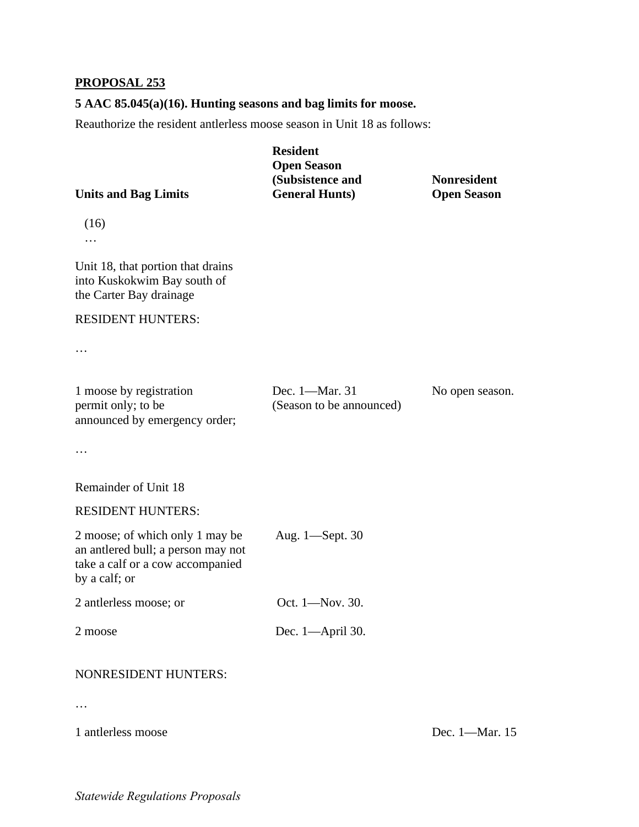## **PROPOSAL 253**

## **5 AAC 85.045(a)(16). Hunting seasons and bag limits for moose.**

Reauthorize the resident antlerless moose season in Unit 18 as follows:

| <b>Units and Bag Limits</b>                                                                                                | <b>Resident</b><br><b>Open Season</b><br>(Subsistence and<br><b>General Hunts)</b> | <b>Nonresident</b><br><b>Open Season</b> |
|----------------------------------------------------------------------------------------------------------------------------|------------------------------------------------------------------------------------|------------------------------------------|
| (16)                                                                                                                       |                                                                                    |                                          |
| Unit 18, that portion that drains<br>into Kuskokwim Bay south of<br>the Carter Bay drainage                                |                                                                                    |                                          |
| <b>RESIDENT HUNTERS:</b>                                                                                                   |                                                                                    |                                          |
|                                                                                                                            |                                                                                    |                                          |
| 1 moose by registration<br>permit only; to be<br>announced by emergency order;                                             | Dec. 1-Mar. 31<br>(Season to be announced)                                         | No open season.                          |
|                                                                                                                            |                                                                                    |                                          |
| Remainder of Unit 18                                                                                                       |                                                                                    |                                          |
| <b>RESIDENT HUNTERS:</b>                                                                                                   |                                                                                    |                                          |
| 2 moose; of which only 1 may be<br>an antlered bull; a person may not<br>take a calf or a cow accompanied<br>by a calf; or | Aug. 1—Sept. 30                                                                    |                                          |
| 2 antlerless moose; or                                                                                                     | Oct. 1-Nov. 30.                                                                    |                                          |
| 2 moose                                                                                                                    | Dec. 1-April 30.                                                                   |                                          |
| <b>NONRESIDENT HUNTERS:</b>                                                                                                |                                                                                    |                                          |

…

1 antlerless moose Dec. 1—Mar. 15